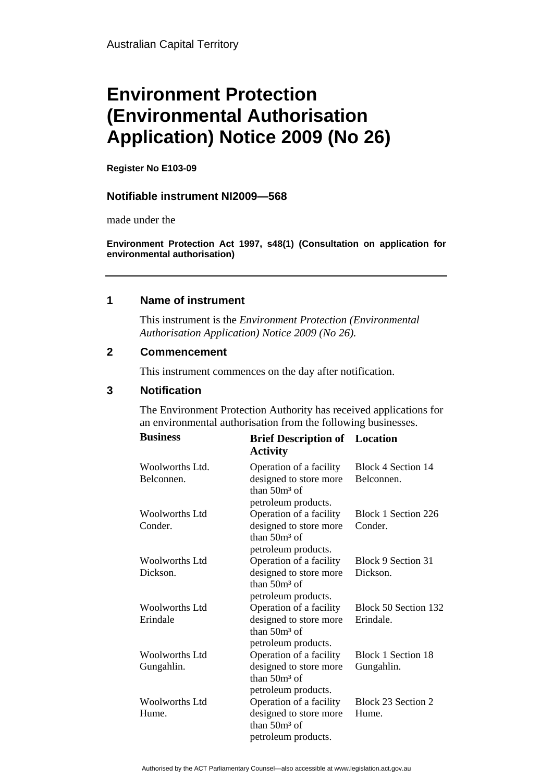# **Environment Protection (Environmental Authorisation Application) Notice 2009 (No 26)**

**Register No E103-09** 

### **Notifiable instrument NI2009—568**

made under the

**Environment Protection Act 1997, s48(1) (Consultation on application for environmental authorisation)**

## **1 Name of instrument**

This instrument is the *Environment Protection (Environmental Authorisation Application) Notice 2009 (No 26).* 

### **2 Commencement**

This instrument commences on the day after notification.

## **3 Notification**

The Environment Protection Authority has received applications for an environmental authorisation from the following businesses.

| <b>Business</b>                     | <b>Brief Description of</b> Location<br><b>Activity</b>                                     |                                   |
|-------------------------------------|---------------------------------------------------------------------------------------------|-----------------------------------|
| Woolworths Ltd.<br>Belconnen.       | Operation of a facility<br>designed to store more<br>than $50m^3$ of<br>petroleum products. | Block 4 Section 14<br>Belconnen.  |
| Woolworths Ltd<br>Conder.           | Operation of a facility<br>designed to store more<br>than $50m3$ of<br>petroleum products.  | Block 1 Section 226<br>Conder.    |
| Woolworths Ltd<br>Dickson.          | Operation of a facility<br>designed to store more<br>than $50m3$ of<br>petroleum products.  | Block 9 Section 31<br>Dickson.    |
| Woolworths Ltd<br>Erindale          | Operation of a facility<br>designed to store more<br>than $50m3$ of<br>petroleum products.  | Block 50 Section 132<br>Erindale. |
| <b>Woolworths Ltd</b><br>Gungahlin. | Operation of a facility<br>designed to store more<br>than $50m3$ of<br>petroleum products.  | Block 1 Section 18<br>Gungahlin.  |
| Woolworths Ltd<br>Hume.             | Operation of a facility<br>designed to store more<br>than $50m3$ of<br>petroleum products.  | Block 23 Section 2<br>Hume.       |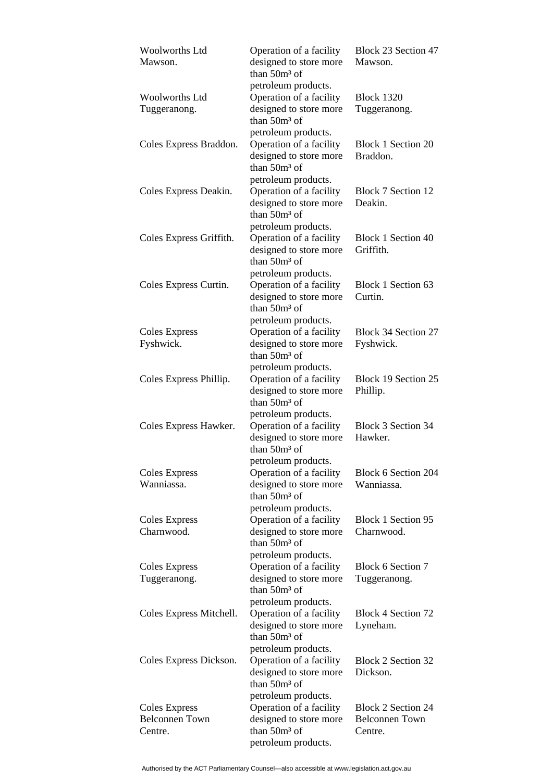| <b>Woolworths Ltd</b><br>Mawson.                  | Operation of a facility<br>designed to store more<br>than $50m3$ of                                                         | Block 23 Section 47<br>Mawson.                                |
|---------------------------------------------------|-----------------------------------------------------------------------------------------------------------------------------|---------------------------------------------------------------|
| <b>Woolworths Ltd</b><br>Tuggeranong.             | petroleum products.<br>Operation of a facility<br>designed to store more<br>than $50m3$ of                                  | <b>Block 1320</b><br>Tuggeranong.                             |
| Coles Express Braddon.                            | petroleum products.<br>Operation of a facility<br>designed to store more<br>than $50m3$ of                                  | <b>Block 1 Section 20</b><br>Braddon.                         |
| Coles Express Deakin.                             | petroleum products.<br>Operation of a facility<br>designed to store more<br>than $50m^3$ of                                 | <b>Block 7 Section 12</b><br>Deakin.                          |
| Coles Express Griffith.                           | petroleum products.<br>Operation of a facility<br>designed to store more<br>than $50m^3$ of                                 | <b>Block 1 Section 40</b><br>Griffith.                        |
| Coles Express Curtin.                             | petroleum products.<br>Operation of a facility<br>designed to store more<br>than $50m^3$ of                                 | Block 1 Section 63<br>Curtin.                                 |
| Coles Express<br>Fyshwick.                        | petroleum products.<br>Operation of a facility<br>designed to store more<br>than 50m <sup>3</sup> of                        | Block 34 Section 27<br>Fyshwick.                              |
| Coles Express Phillip.                            | petroleum products.<br>Operation of a facility<br>designed to store more<br>than 50m <sup>3</sup> of                        | Block 19 Section 25<br>Phillip.                               |
| Coles Express Hawker.                             | petroleum products.<br>Operation of a facility<br>designed to store more<br>than 50m <sup>3</sup> of                        | <b>Block 3 Section 34</b><br>Hawker.                          |
| <b>Coles Express</b><br>Wanniassa                 | petroleum products.<br>Operation of a facility<br>designed to store more<br>than $50m3$ of                                  | Block 6 Section 204<br>Wanniassa.                             |
| Coles Express<br>Charnwood.                       | petroleum products.<br>Operation of a facility<br>designed to store more<br>than $50m3$ of                                  | <b>Block 1 Section 95</b><br>Charnwood.                       |
| <b>Coles Express</b><br>Tuggeranong.              | petroleum products.<br>Operation of a facility<br>designed to store more<br>than 50m <sup>3</sup> of                        | Block 6 Section 7<br>Tuggeranong.                             |
| Coles Express Mitchell.                           | petroleum products.<br>Operation of a facility<br>designed to store more<br>than 50m <sup>3</sup> of                        | Block 4 Section 72<br>Lyneham.                                |
| Coles Express Dickson.                            | petroleum products.<br>Operation of a facility<br>designed to store more<br>than 50m <sup>3</sup> of                        | Block 2 Section 32<br>Dickson.                                |
| Coles Express<br><b>Belconnen</b> Town<br>Centre. | petroleum products.<br>Operation of a facility<br>designed to store more<br>than 50m <sup>3</sup> of<br>petroleum products. | <b>Block 2 Section 24</b><br><b>Belconnen Town</b><br>Centre. |